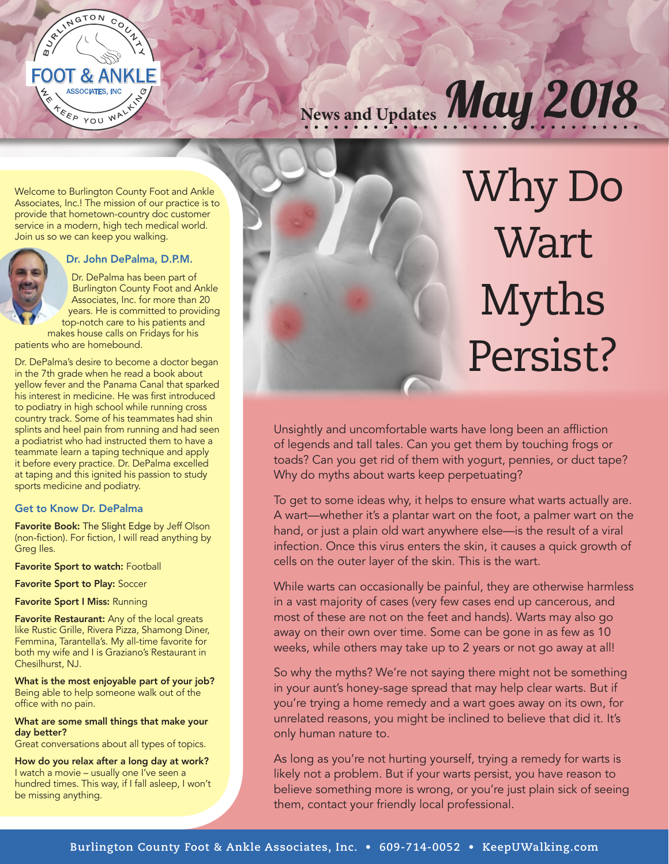

News and Updates May 2018

Welcome to Burlington County Foot and Ankle Associates, Inc.! The mission of our practice is to provide that hometown-country doc customer service in a modern, high tech medical world. Join us so we can keep you walking.



#### Dr. John DePalma, D.P.M.

Dr. DePalma has been part of Burlington County Foot and Ankle Associates, Inc. for more than 20 years. He is committed to providing top-notch care to his patients and makes house calls on Fridays for his

patients who are homebound.

Dr. DePalma's desire to become a doctor began in the 7th grade when he read a book about yellow fever and the Panama Canal that sparked his interest in medicine. He was first introduced to podiatry in high school while running cross country track. Some of his teammates had shin splints and heel pain from running and had seen a podiatrist who had instructed them to have a teammate learn a taping technique and apply it before every practice. Dr. DePalma excelled at taping and this ignited his passion to study sports medicine and podiatry.

#### Get to Know Dr. DePalma

Favorite Book: The Slight Edge by Jeff Olson (non-fiction). For fiction, I will read anything by Greg Iles.

Favorite Sport to watch: Football

Favorite Sport to Play: Soccer

Favorite Sport I Miss: Running

Favorite Restaurant: Any of the local greats like Rustic Grille, Rivera Pizza, Shamong Diner, Femmina, Tarantella's. My all-time favorite for both my wife and I is Graziano's Restaurant in Chesilhurst, NJ.

What is the most enjoyable part of your job? Being able to help someone walk out of the office with no pain.

What are some small things that make your day better?

Great conversations about all types of topics.

How do you relax after a long day at work? I watch a movie – usually one I've seen a hundred times. This way, if I fall asleep, I won't be missing anything.



# Why Do **Wart** Myths Persist?

Unsightly and uncomfortable warts have long been an affliction of legends and tall tales. Can you get them by touching frogs or toads? Can you get rid of them with yogurt, pennies, or duct tape? Why do myths about warts keep perpetuating?

To get to some ideas why, it helps to ensure what warts actually are. A wart—whether it's a plantar wart on the foot, a palmer wart on the hand, or just a plain old wart anywhere else—is the result of a viral infection. Once this virus enters the skin, it causes a quick growth of cells on the outer layer of the skin. This is the wart.

While warts can occasionally be painful, they are otherwise harmless in a vast majority of cases (very few cases end up cancerous, and most of these are not on the feet and hands). Warts may also go away on their own over time. Some can be gone in as few as 10 weeks, while others may take up to 2 years or not go away at all!

So why the myths? We're not saying there might not be something in your aunt's honey-sage spread that may help clear warts. But if you're trying a home remedy and a wart goes away on its own, for unrelated reasons, you might be inclined to believe that did it. It's only human nature to.

As long as you're not hurting yourself, trying a remedy for warts is likely not a problem. But if your warts persist, you have reason to believe something more is wrong, or you're just plain sick of seeing them, contact your friendly local professional.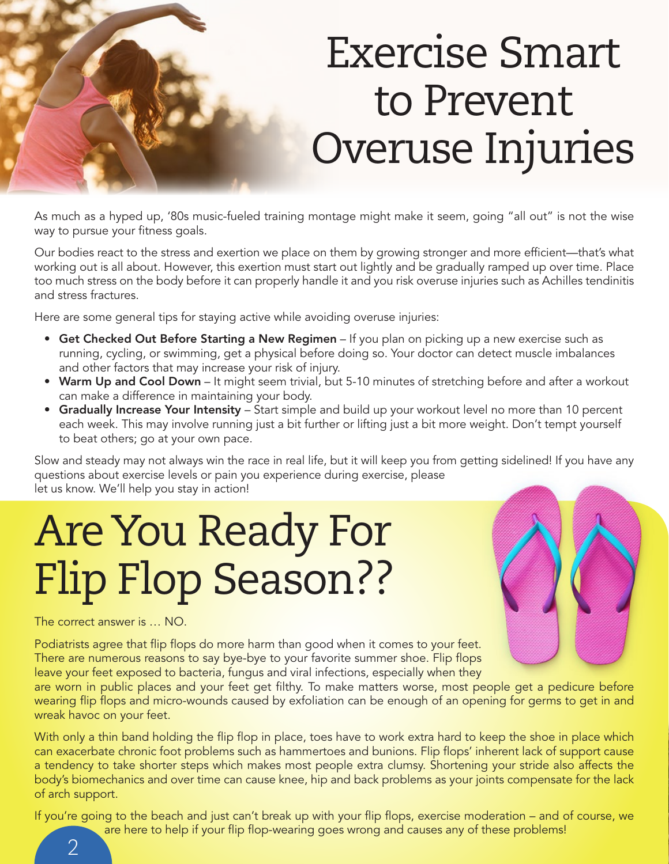

As much as a hyped up, '80s music-fueled training montage might make it seem, going "all out" is not the wise way to pursue your fitness goals.

Our bodies react to the stress and exertion we place on them by growing stronger and more efficient—that's what working out is all about. However, this exertion must start out lightly and be gradually ramped up over time. Place too much stress on the body before it can properly handle it and you risk overuse injuries such as Achilles tendinitis and stress fractures.

Here are some general tips for staying active while avoiding overuse injuries:

- Get Checked Out Before Starting a New Regimen If you plan on picking up a new exercise such as running, cycling, or swimming, get a physical before doing so. Your doctor can detect muscle imbalances and other factors that may increase your risk of injury.
- Warm Up and Cool Down It might seem trivial, but 5-10 minutes of stretching before and after a workout can make a difference in maintaining your body.
- Gradually Increase Your Intensity Start simple and build up your workout level no more than 10 percent each week. This may involve running just a bit further or lifting just a bit more weight. Don't tempt yourself to beat others; go at your own pace.

Slow and steady may not always win the race in real life, but it will keep you from getting sidelined! If you have any questions about exercise levels or pain you experience during exercise, please let us know. We'll help you stay in action!

## Are You Ready For Flip Flop Season??



The correct answer is … NO.

Podiatrists agree that flip flops do more harm than good when it comes to your feet. There are numerous reasons to say bye-bye to your favorite summer shoe. Flip flops leave your feet exposed to bacteria, fungus and viral infections, especially when they

are worn in public places and your feet get filthy. To make matters worse, most people get a pedicure before wearing flip flops and micro-wounds caused by exfoliation can be enough of an opening for germs to get in and wreak havoc on your feet.

With only a thin band holding the flip flop in place, toes have to work extra hard to keep the shoe in place which can exacerbate chronic foot problems such as hammertoes and bunions. Flip flops' inherent lack of support cause a tendency to take shorter steps which makes most people extra clumsy. Shortening your stride also affects the body's biomechanics and over time can cause knee, hip and back problems as your joints compensate for the lack of arch support.

If you're going to the beach and just can't break up with your flip flops, exercise moderation – and of course, we

are here to help if your flip flop-wearing goes wrong and causes any of these problems!

 $\overline{\mathcal{L}}$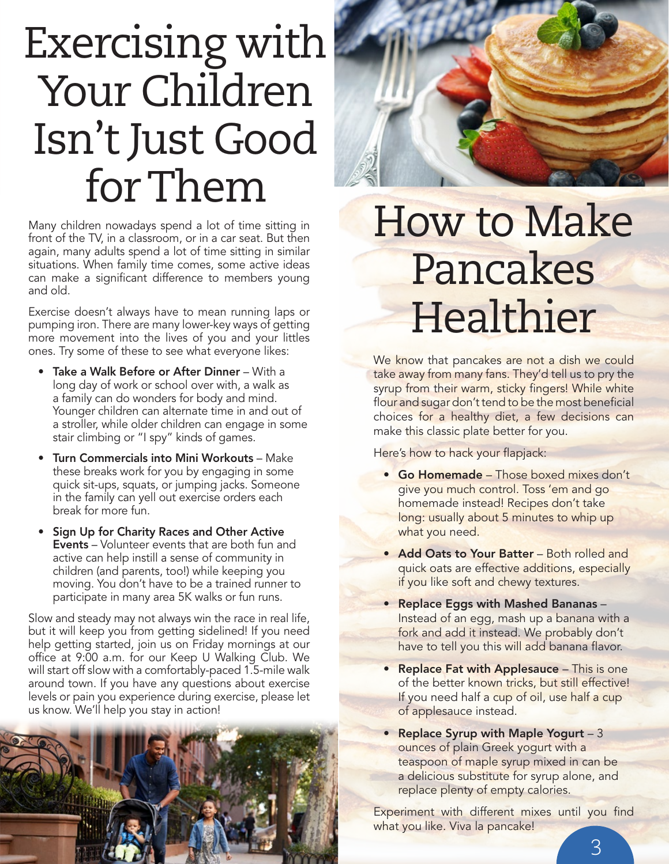## Exercising with Your Children Isn't Just Good for Them

Many children nowadays spend a lot of time sitting in front of the TV, in a classroom, or in a car seat. But then again, many adults spend a lot of time sitting in similar situations. When family time comes, some active ideas can make a significant difference to members young and old.

Exercise doesn't always have to mean running laps or pumping iron. There are many lower-key ways of getting more movement into the lives of you and your littles ones. Try some of these to see what everyone likes:

- Take a Walk Before or After Dinner With a long day of work or school over with, a walk as a family can do wonders for body and mind. Younger children can alternate time in and out of a stroller, while older children can engage in some stair climbing or "I spy" kinds of games.
- Turn Commercials into Mini Workouts Make these breaks work for you by engaging in some quick sit-ups, squats, or jumping jacks. Someone in the family can yell out exercise orders each break for more fun.
- Sign Up for Charity Races and Other Active **Events** – Volunteer events that are both fun and active can help instill a sense of community in children (and parents, too!) while keeping you moving. You don't have to be a trained runner to participate in many area 5K walks or fun runs.

Slow and steady may not always win the race in real life, but it will keep you from getting sidelined! If you need help getting started, join us on Friday mornings at our office at 9:00 a.m. for our Keep U Walking Club. We will start off slow with a comfortably-paced 1.5-mile walk around town. If you have any questions about exercise levels or pain you experience during exercise, please let us know. We'll help you stay in action!



#### How to Make Pancakes **Healthier**

We know that pancakes are not a dish we could take away from many fans. They'd tell us to pry the syrup from their warm, sticky fingers! While white flour and sugar don't tend to be the most beneficial choices for a healthy diet, a few decisions can make this classic plate better for you.

Here's how to hack your flapjack:

- Go Homemade Those boxed mixes don't give you much control. Toss 'em and go homemade instead! Recipes don't take long: usually about 5 minutes to whip up what you need.
- Add Oats to Your Batter Both rolled and quick oats are effective additions, especially if you like soft and chewy textures.
- Replace Eggs with Mashed Bananas Instead of an egg, mash up a banana with a fork and add it instead. We probably don't have to tell you this will add banana flavor.
- Replace Fat with Applesauce This is one of the better known tricks, but still effective! If you need half a cup of oil, use half a cup of applesauce instead.
- Replace Syrup with Maple Yogurt 3 ounces of plain Greek yogurt with a teaspoon of maple syrup mixed in can be a delicious substitute for syrup alone, and replace plenty of empty calories.

Experiment with different mixes until you find what you like. Viva la pancake!